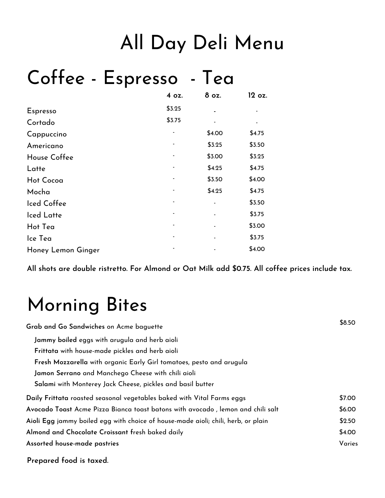# All Day Deli Menu

## Coffee - Espresso - Tea

|                    | 4 oz.  | 8 oz.  | 12 oz. |
|--------------------|--------|--------|--------|
| Espresso           | \$3.25 |        |        |
| Cortado            | \$3.75 |        |        |
| Cappuccino         |        | \$4.00 | \$4.75 |
| Americano          |        | \$3.25 | \$3.50 |
| House Coffee       |        | \$3.00 | \$3.25 |
| Latte              |        | \$4.25 | \$4.75 |
| <b>Hot Cocoa</b>   |        | \$3.50 | \$4.00 |
| Mocha              |        | \$4.25 | \$4.75 |
| Iced Coffee        |        |        | \$3.50 |
| Iced Latte         |        |        | \$3.75 |
| Hot Tea            |        |        | \$3.00 |
| Ice Tea            |        |        | \$3.75 |
| Honey Lemon Ginger |        |        | \$4.00 |

**All shots are double ristretto. For Almond or Oat Milk add \$0.75. All coffee prices include tax.**

## Morning Bites

| Grab and Go Sandwiches on Acme baguette                                           | \$8.50 |
|-----------------------------------------------------------------------------------|--------|
| Jammy boiled eggs with arugula and herb aioli                                     |        |
| Frittata with house-made pickles and herb aioli                                   |        |
| Fresh Mozzarella with organic Early Girl tomatoes, pesto and arugula              |        |
| Jamon Serrano and Manchego Cheese with chili aioli                                |        |
| Salami with Monterey Jack Cheese, pickles and basil butter                        |        |
| Daily Frittata roasted seasonal vegetables baked with Vital Farms eggs            | \$7.00 |
| Avocado Toast Acme Pizza Bianca toast batons with avocado, lemon and chili salt   | \$6.00 |
| Aioli Egg jammy boiled egg with choice of house-made aioli; chili, herb, or plain | \$2.50 |
| Almond and Chocolate Croissant fresh baked daily                                  | \$4.00 |
| Assorted house-made pastries                                                      | Varies |
|                                                                                   |        |

**Prepared food is taxed.**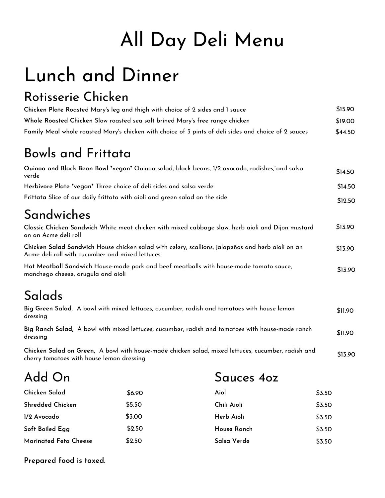# All Day Deli Menu

# Lunch and Dinner

#### Rotisserie Chicken

| Chicken Plate Roasted Mary's leg and thigh with choice of 2 sides and 1 sauce                        | \$15.90 |
|------------------------------------------------------------------------------------------------------|---------|
| Whole Roasted Chicken Slow roasted sea salt brined Mary's free range chicken                         | \$19.00 |
| Family Meal whole roasted Mary's chicken with choice of 3 pints of deli sides and choice of 2 sauces | \$44.50 |

### Bowls and Frittata

| Quinoa and Black Bean Bowl *vegan* Quinoa salad, black beans, 1/2 avocado, radishes,`and salsa<br>verde | \$14.50 |
|---------------------------------------------------------------------------------------------------------|---------|
| Herbivore Plate *vegan* Three choice of deli sides and salsa verde                                      | \$14.50 |
| Frittata Slice of our daily frittata with aioli and green salad on the side                             | \$12.50 |
|                                                                                                         |         |

### Sandwiches

| Classic Chicken Sandwich White meat chicken with mixed cabbage slaw, herb aioli and Dijon mustard<br>an an Acme deli roll                                                                                                                                      | \$13.90 |
|----------------------------------------------------------------------------------------------------------------------------------------------------------------------------------------------------------------------------------------------------------------|---------|
| Chicken Salad Sandwich House chicken salad with celery, scallions, jalapeños and herb aioli on an<br>Acme deli roll with cucumber and mixed lettuces                                                                                                           | \$13.90 |
| $\mathbf{H} \cdot \mathbf{M}$ at $\mathbf{H} \cdot \mathbf{C} = \mathbf{I} \cdot \mathbf{H} \cdot \mathbf{H}$ and $\mathbf{I} \cdot \mathbf{I} = \mathbf{H} \cdot \mathbf{H}$ and $\mathbf{I} \cdot \mathbf{I} = \mathbf{I} \cdot \mathbf{I} \cdot \mathbf{I}$ |         |

**Hot Meatball Sandwich** House-made pork and beef meatballs with house-made tomato sauce, manchego cheese, arugula and aioli \$13.90

## Salads

| Big Green Salad, A bowl with mixed lettuces, cucumber, radish and tomatoes with house lemon<br>dressing                                         | \$11.90 |
|-------------------------------------------------------------------------------------------------------------------------------------------------|---------|
| Big Ranch Salad, A bowl with mixed lettuces, cucumber, radish and tomatoes with house-made ranch<br>dressing                                    | \$11.90 |
| Chicken Salad on Green, A bowl with house-made chicken salad, mixed lettuces, cucumber, radish and<br>cherry tomatoes with house lemon dressing | \$13.90 |

**1/2 Avocado** \$6.90 \$3.00 \$2.50 Add On **Marinated Feta Cheese Soft Boiled Egg Chicken Salad Shredded Chicken** \$5.50 \$2.50 **Herb Aioli** Sauces 4oz **Salsa Verde House Ranch Aiol Chili Aioli** \$3.50 \$3.50 \$3.50 \$3.50 \$3.50

**Prepared food is taxed.**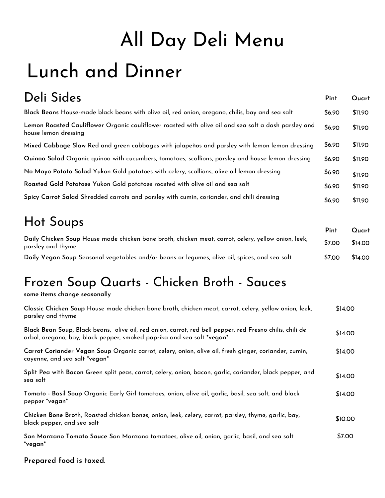# All Day Deli Menu Lunch and Dinner

| Deli Sides                                                                                                                   | Pint   | Quart   |
|------------------------------------------------------------------------------------------------------------------------------|--------|---------|
| Black Beans House-made black beans with olive oil, red onion, oregano, chilis, bay and sea salt                              | \$6.90 | \$11.90 |
| Lemon Roasted Cauliflower Organic cauliflower roasted with olive oil and sea salt a dash parsley and<br>house lemon dressing | \$6.90 | \$11.90 |
| Mixed Cabbage Slaw Red and green cabbages with jalapeños and parsley with lemon lemon dressing                               | \$6.90 | \$11.90 |
| Quinoa Salad Organic quinoa with cucumbers, tomatoes, scallions, parsley and house lemon dressing                            | \$6.90 | \$11.90 |
| No Mayo Potato Salad Yukon Gold potatoes with celery, scallions, olive oil lemon dressing                                    | \$6.90 | \$11.90 |
| Roasted Gold Potatoes Yukon Gold potatoes roasted with olive oil and sea salt                                                | \$6.90 | \$11.90 |
| Spicy Carrot Salad Shredded carrots and parsley with cumin, coriander, and chili dressing                                    | \$6.90 | \$11.90 |

### Hot Soups

|                                                                                                                          | Pint   | Quart   |
|--------------------------------------------------------------------------------------------------------------------------|--------|---------|
| Daily Chicken Soup House made chicken bone broth, chicken meat, carrot, celery, yellow onion, leek,<br>parsley and thyme | \$7.00 | \$14.00 |
| Daily Vegan Soup Seasonal vegetables and/or beans or legumes, olive oil, spices, and sea salt                            | \$7.00 | \$14.00 |

## Frozen Soup Quarts - Chicken Broth - Sauces

**some items change seasonally**

| Classic Chicken Soup House made chicken bone broth, chicken meat, carrot, celery, yellow onion, leek,<br>parsley and thyme                                                         | \$14.00 |
|------------------------------------------------------------------------------------------------------------------------------------------------------------------------------------|---------|
| Black Bean Soup, Black beans, olive oil, red onion, carrot, red bell pepper, red Fresno chilis, chili de<br>arbol, oregano, bay, black pepper, smoked paprika and sea salt *vegan* | \$14.00 |
| Carrot Coriander Vegan Soup Organic carrot, celery, onion, olive oil, fresh ginger, coriander, cumin,<br>cayenne, and sea salt *vegan*                                             | \$14.00 |
| Split Pea with Bacon Green split peas, carrot, celery, onion, bacon, garlic, coriander, black pepper, and<br>sea salt                                                              | \$14.00 |
| Tomato - Basil Soup Organic Early Girl tomatoes, onion, olive oil, garlic, basil, sea salt, and black<br>pepper *vegan*                                                            | \$14.00 |
| Chicken Bone Broth, Roasted chicken bones, onion, leek, celery, carrot, parsley, thyme, garlic, bay,<br>black pepper, and sea salt                                                 | \$10.00 |
| San Manzano Tomato Sauce San Manzano tomatoes, olive oil, onion, garlic, basil, and sea salt<br>*vegan*                                                                            | \$7.00  |

**Prepared food is taxed.**